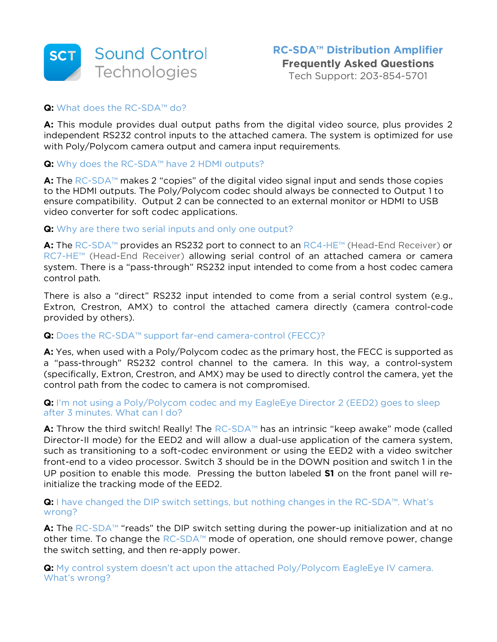

Tech Support: 203-854-5701

#### **Q:** What does the RC-SDA™ do?

**A:** This module provides dual output paths from the digital video source, plus provides 2 independent RS232 control inputs to the attached camera. The system is optimized for use with Poly/Polycom camera output and camera input requirements.

#### **Q:** Why does the RC-SDA™ have 2 HDMI outputs?

**A:** The RC-SDA™ makes 2 "copies" of the digital video signal input and sends those copies to the HDMI outputs. The Poly/Polycom codec should always be connected to Output 1 to ensure compatibility. Output 2 can be connected to an external monitor or HDMI to USB video converter for soft codec applications.

#### **Q:** Why are there two serial inputs and only one output?

**A:** The RC-SDA™ provides an RS232 port to connect to an RC4-HE™ (Head-End Receiver) or RC7-HE™ (Head-End Receiver) allowing serial control of an attached camera or camera system. There is a "pass-through" RS232 input intended to come from a host codec camera control path.

There is also a "direct" RS232 input intended to come from a serial control system (e.g., Extron, Crestron, AMX) to control the attached camera directly (camera control-code provided by others).

## **Q:** Does the RC-SDA™ support far-end camera-control (FECC)?

**A:** Yes, when used with a Poly/Polycom codec as the primary host, the FECC is supported as a "pass-through" RS232 control channel to the camera. In this way, a control-system (specifically, Extron, Crestron, and AMX) may be used to directly control the camera, yet the control path from the codec to camera is not compromised.

## **Q:** I'm not using a Poly/Polycom codec and my EagleEye Director 2 (EED2) goes to sleep after 3 minutes. What can I do?

**A:** Throw the third switch! Really! The RC-SDA™ has an intrinsic "keep awake" mode (called Director-II mode) for the EED2 and will allow a dual-use application of the camera system, such as transitioning to a soft-codec environment or using the EED2 with a video switcher front-end to a video processor. Switch 3 should be in the DOWN position and switch 1 in the UP position to enable this mode. Pressing the button labeled **S1** on the front panel will reinitialize the tracking mode of the EED2.

## **Q:** I have changed the DIP switch settings, but nothing changes in the RC-SDA™. What's wrong?

**A:** The RC-SDA™ "reads" the DIP switch setting during the power-up initialization and at no other time. To change the RC-SDA™ mode of operation, one should remove power, change the switch setting, and then re-apply power.

**Q:** My control system doesn't act upon the attached Poly/Polycom EagleEye IV camera. What's wrong?